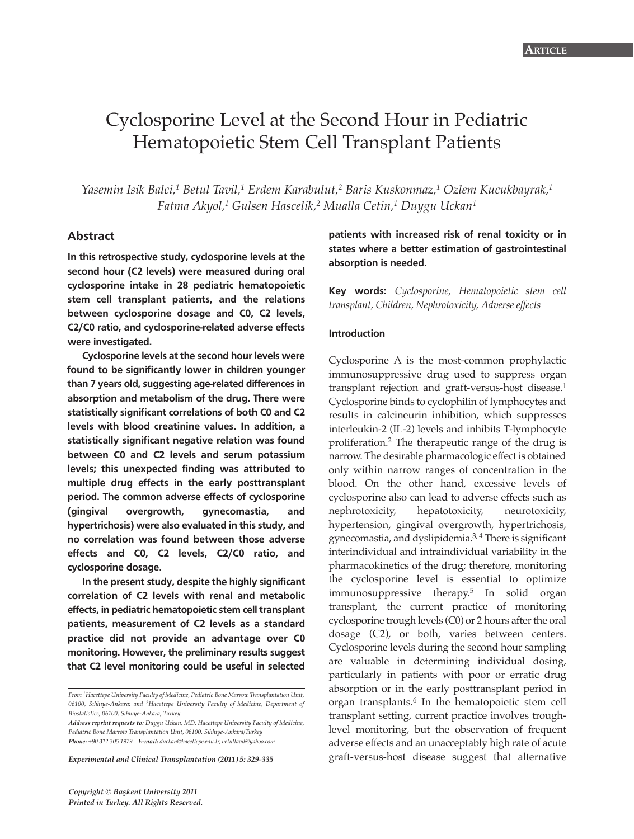# Cyclosporine Level at the Second Hour in Pediatric Hematopoietic Stem Cell Transplant Patients

*Yasemin Isik Balci,1 Betul Tavil,1 Erdem Karabulut,2 Baris Kuskonmaz,1 Ozlem Kucukbayrak,1 Fatma Akyol,1 Gulsen Hascelik,2 Mualla Cetin,1 Duygu Uckan1*

# **Abstract**

**In this retrospective study, cyclosporine levels at the second hour (C2 levels) were measured during oral cyclosporine intake in 28 pediatric hematopoietic stem cell transplant patients, and the relations between cyclosporine dosage and C0, C2 levels, C2/C0 ratio, and cyclosporine-related adverse effects were investigated.** 

**Cyclosporine levels at the second hour levels were found to be significantly lower in children younger than 7 years old, suggesting age-related differences in absorption and metabolism of the drug. There were statistically significant correlations of both C0 and C2 levels with blood creatinine values. In addition, a statistically significant negative relation was found between C0 and C2 levels and serum potassium levels; this unexpected finding was attributed to multiple drug effects in the early posttransplant period. The common adverse effects of cyclosporine (gingival overgrowth, gynecomastia, and hypertrichosis) were also evaluated in this study, and no correlation was found between those adverse effects and C0, C2 levels, C2/C0 ratio, and cyclosporine dosage.** 

**In the present study, despite the highly significant correlation of C2 levels with renal and metabolic effects, in pediatric hematopoietic stem cell transplant patients, measurement of C2 levels as a standard practice did not provide an advantage over C0 monitoring. However, the preliminary results suggest that C2 level monitoring could be useful in selected**

*Experimental and Clinical Transplantation (2011) 5: 329-335*

**patients with increased risk of renal toxicity or in states where a better estimation of gastrointestinal absorption is needed.**

**Key words:** *Cyclosporine, Hematopoietic stem cell transplant, Children, Nephrotoxicity, Adverse effects*

### **Introduction**

Cyclosporine A is the most-common prophylactic immunosuppressive drug used to suppress organ transplant rejection and graft-versus-host disease.1 Cyclosporine binds to cyclophilin of lymphocytes and results in calcineurin inhibition, which suppresses interleukin-2 (IL-2) levels and inhibits T-lymphocyte proliferation.2 The therapeutic range of the drug is narrow. The desirable pharmacologic effect is obtained only within narrow ranges of concentration in the blood. On the other hand, excessive levels of cyclosporine also can lead to adverse effects such as nephrotoxicity, hepatotoxicity, neurotoxicity, hypertension, gingival overgrowth, hypertrichosis, gynecomastia, and dyslipidemia.3, 4 There is significant interindividual and intraindividual variability in the pharmacokinetics of the drug; therefore, monitoring the cyclosporine level is essential to optimize immunosuppressive therapy.5 In solid organ transplant, the current practice of monitoring cyclosporine trough levels (C0) or 2 hours after the oral dosage (C2), or both, varies between centers. Cyclosporine levels during the second hour sampling are valuable in determining individual dosing, particularly in patients with poor or erratic drug absorption or in the early posttransplant period in organ transplants.6 In the hematopoietic stem cell transplant setting, current practice involves troughlevel monitoring, but the observation of frequent adverse effects and an unacceptably high rate of acute graft-versus-host disease suggest that alternative

*From 1Hacettepe University Faculty of Medicine, Pediatric Bone Marrow Transplantation Unit, 06100, Sıhhıye-Ankara; and 2Hacettepe University Faculty of Medicine, Department of Biostatistics, 06100, Sıhhıye-Ankara, Turkey*

*Address reprint requests to: Duygu Uckan, MD, Hacettepe University Faculty of Medicine, Pediatric Bone Marrow Transplantation Unit, 06100, Sıhhıye-Ankara/Turkey Phone: +90 312 305 1979 E-mail: duckan@hacettepe.edu.tr, betultavil@yahoo.com*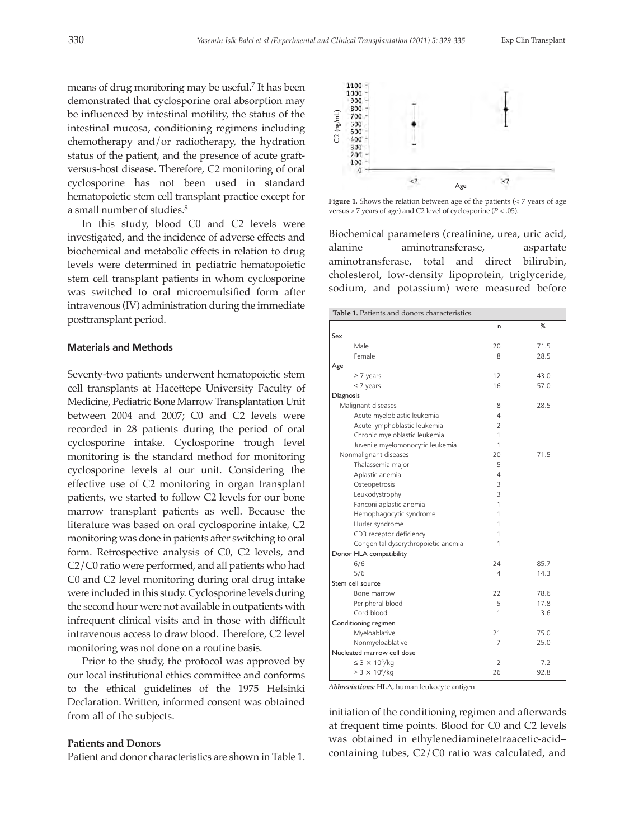means of drug monitoring may be useful.<sup>7</sup> It has been demonstrated that cyclosporine oral absorption may be influenced by intestinal motility, the status of the intestinal mucosa, conditioning regimens including chemotherapy and/or radiotherapy, the hydration status of the patient, and the presence of acute graftversus-host disease. Therefore, C2 monitoring of oral cyclosporine has not been used in standard hematopoietic stem cell transplant practice except for a small number of studies.<sup>8</sup>

In this study, blood C0 and C2 levels were investigated, and the incidence of adverse effects and biochemical and metabolic effects in relation to drug levels were determined in pediatric hematopoietic stem cell transplant patients in whom cyclosporine was switched to oral microemulsified form after intravenous (IV) administration during the immediate posttransplant period.

#### **Materials and Methods**

Seventy-two patients underwent hematopoietic stem cell transplants at Hacettepe University Faculty of Medicine, Pediatric Bone Marrow Transplantation Unit between 2004 and 2007; C0 and C2 levels were recorded in 28 patients during the period of oral cyclosporine intake. Cyclosporine trough level monitoring is the standard method for monitoring cyclosporine levels at our unit. Considering the effective use of C2 monitoring in organ transplant patients, we started to follow C2 levels for our bone marrow transplant patients as well. Because the literature was based on oral cyclosporine intake, C2 monitoring was done in patients after switching to oral form. Retrospective analysis of C0, C2 levels, and C2/C0 ratio were performed, and all patients who had C0 and C2 level monitoring during oral drug intake were included in this study. Cyclosporine levels during the second hour were not available in outpatients with infrequent clinical visits and in those with difficult intravenous access to draw blood. Therefore, C2 level monitoring was not done on a routine basis.

Prior to the study, the protocol was approved by our local institutional ethics committee and conforms to the ethical guidelines of the 1975 Helsinki Declaration. Written, informed consent was obtained from all of the subjects.

#### **Patients and Donors**

Patient and donor characteristics are shown in Table 1.



Figure 1. Shows the relation between age of the patients (< 7 years of age

Biochemical parameters (creatinine, urea, uric acid, alanine aminotransferase, aspartate aminotransferase, total and direct bilirubin, cholesterol, low-density lipoprotein, triglyceride, sodium, and potassium) were measured before

**table 1.** Patients and donors characteristics.

|                            |                                       | n              | %    |
|----------------------------|---------------------------------------|----------------|------|
| Sex                        |                                       |                |      |
| Male                       |                                       | 20             | 71.5 |
|                            | Female                                | 8              | 28.5 |
| Age                        |                                       |                |      |
|                            | $\geq$ 7 years                        | 12             | 43.0 |
|                            | < 7 years                             | 16             | 57.0 |
| Diagnosis                  |                                       |                |      |
|                            | Malignant diseases                    | 8              | 28.5 |
|                            | Acute myeloblastic leukemia           | 4              |      |
|                            | Acute lymphoblastic leukemia          | $\overline{2}$ |      |
|                            | Chronic myeloblastic leukemia         | 1              |      |
|                            | Juvenile myelomonocytic leukemia      | 1              |      |
|                            | Nonmalignant diseases                 | 20             | 71.5 |
|                            | Thalassemia major                     | 5              |      |
|                            | Aplastic anemia                       | 4              |      |
|                            | Osteopetrosis                         | 3              |      |
|                            | Leukodystrophy                        | 3              |      |
|                            | Fanconi aplastic anemia               | 1              |      |
|                            | Hemophagocytic syndrome               | 1              |      |
|                            | Hurler syndrome                       | 1              |      |
|                            | CD3 receptor deficiency               | 1              |      |
|                            | Congenital dyserythropoietic anemia   | 1              |      |
|                            | Donor HLA compatibility               |                |      |
| 6/6                        |                                       | 74             | 85.7 |
| 5/6                        |                                       | 4              | 14.3 |
| Stem cell source           |                                       |                |      |
|                            | Bone marrow                           | 22             | 78.6 |
|                            | Peripheral blood                      | 5              | 17.8 |
|                            | Cord blood                            | 1              | 3.6  |
|                            | Conditioning regimen                  |                |      |
|                            | Myeloablative                         | 21             | 75.0 |
| Nonmyeloablative           |                                       | 7              | 25.0 |
| Nucleated marrow cell dose |                                       |                |      |
|                            | $\leq$ 3 $\times$ 10 <sup>8</sup> /kg | $\mathcal{P}$  | 7.2  |
|                            | $> 3 \times 10^8$ /kg                 | 26             | 92.8 |

*Abbreviations:* HLA, human leukocyte antigen

initiation of the conditioning regimen and afterwards at frequent time points. Blood for C0 and C2 levels was obtained in ethylenediaminetetraacetic-acid– containing tubes, C2/C0 ratio was calculated, and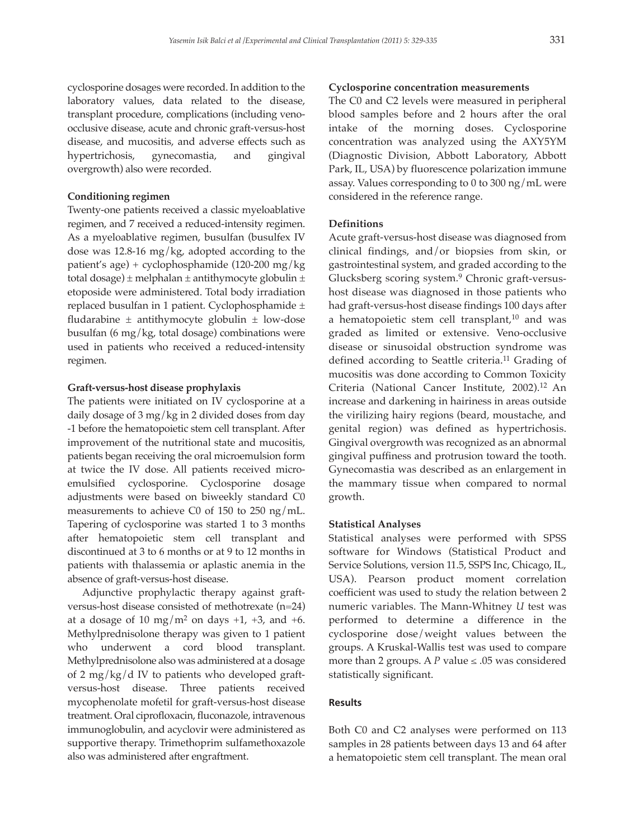cyclosporine dosages were recorded. In addition to the laboratory values, data related to the disease, transplant procedure, complications (including venoocclusive disease, acute and chronic graft-versus-host disease, and mucositis, and adverse effects such as hypertrichosis, gynecomastia, and gingival overgrowth) also were recorded.

## **conditioning regimen**

Twenty-one patients received a classic myeloablative regimen, and 7 received a reduced-intensity regimen. As a myeloablative regimen, busulfan (busulfex IV dose was 12.8-16 mg/kg, adopted according to the patient's age) + cyclophosphamide (120-200 mg/kg total dosage)  $\pm$  melphalan  $\pm$  antithymocyte globulin  $\pm$ etoposide were administered. Total body irradiation replaced busulfan in 1 patient. Cyclophosphamide ± fludarabine  $\pm$  antithymocyte globulin  $\pm$  low-dose busulfan (6 mg/kg, total dosage) combinations were used in patients who received a reduced-intensity regimen.

#### **Graft-versus-host disease prophylaxis**

The patients were initiated on IV cyclosporine at a daily dosage of 3 mg/kg in 2 divided doses from day -1 before the hematopoietic stem cell transplant. After improvement of the nutritional state and mucositis, patients began receiving the oral microemulsion form at twice the IV dose. All patients received microemulsified cyclosporine. Cyclosporine dosage adjustments were based on biweekly standard C0 measurements to achieve C0 of 150 to 250 ng/mL. Tapering of cyclosporine was started 1 to 3 months after hematopoietic stem cell transplant and discontinued at 3 to 6 months or at 9 to 12 months in patients with thalassemia or aplastic anemia in the absence of graft-versus-host disease.

Adjunctive prophylactic therapy against graftversus-host disease consisted of methotrexate (n=24) at a dosage of 10 mg/m<sup>2</sup> on days  $+1$ ,  $+3$ , and  $+6$ . Methylprednisolone therapy was given to 1 patient who underwent a cord blood transplant. Methylprednisolone also was administered at a dosage of 2 mg/kg/d IV to patients who developed graftversus-host disease. Three patients received mycophenolate mofetil for graft-versus-host disease treatment. Oral ciprofloxacin, fluconazole, intravenous immunoglobulin, and acyclovir were administered as supportive therapy. Trimethoprim sulfamethoxazole also was administered after engraftment.

## **cyclosporine concentration measurements**

The C0 and C2 levels were measured in peripheral blood samples before and 2 hours after the oral intake of the morning doses. Cyclosporine concentration was analyzed using the AXY5YM (Diagnostic Division, Abbott Laboratory, Abbott Park, IL, USA) by fluorescence polarization immune assay. Values corresponding to 0 to 300 ng/mL were considered in the reference range.

## **Definitions**

Acute graft-versus-host disease was diagnosed from clinical findings, and/or biopsies from skin, or gastrointestinal system, and graded according to the Glucksberg scoring system.9 Chronic graft-versushost disease was diagnosed in those patients who had graft-versus-host disease findings 100 days after a hematopoietic stem cell transplant, $10$  and was graded as limited or extensive. Veno-occlusive disease or sinusoidal obstruction syndrome was defined according to Seattle criteria.<sup>11</sup> Grading of mucositis was done according to Common Toxicity Criteria (National Cancer Institute, 2002).12 An increase and darkening in hairiness in areas outside the virilizing hairy regions (beard, moustache, and genital region) was defined as hypertrichosis. Gingival overgrowth was recognized as an abnormal gingival puffiness and protrusion toward the tooth. Gynecomastia was described as an enlargement in the mammary tissue when compared to normal growth.

## **Statistical Analyses**

Statistical analyses were performed with SPSS software for Windows (Statistical Product and Service Solutions, version 11.5, SSPS Inc, Chicago, IL, USA). Pearson product moment correlation coefficient was used to study the relation between 2 numeric variables. The Mann-Whitney *U* test was performed to determine a difference in the cyclosporine dose/weight values between the groups. A Kruskal-Wallis test was used to compare more than 2 groups. A  $P$  value  $\leq$  .05 was considered statistically significant.

## **Results**

Both C0 and C2 analyses were performed on 113 samples in 28 patients between days 13 and 64 after a hematopoietic stem cell transplant. The mean oral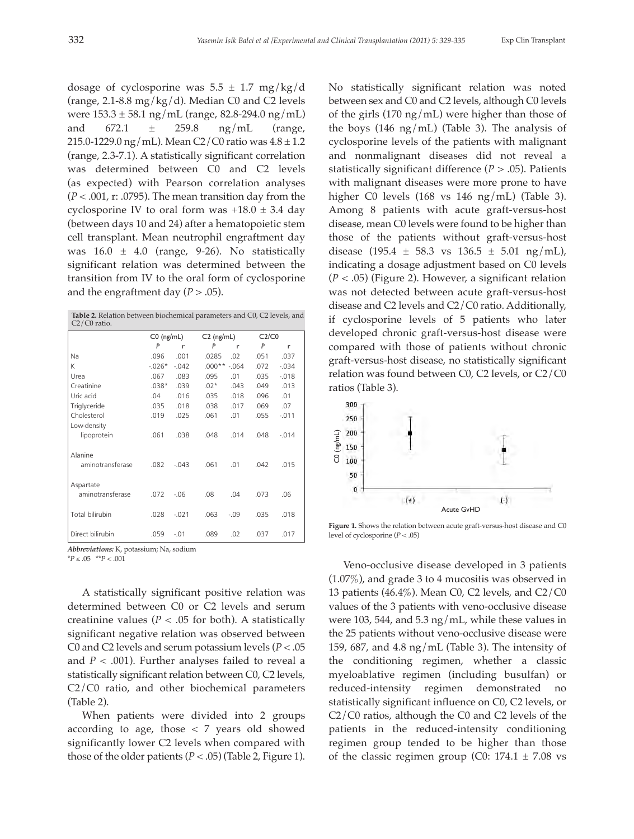dosage of cyclosporine was  $5.5 \pm 1.7$  mg/kg/d (range, 2.1-8.8 mg/kg/d). Median C0 and C2 levels were  $153.3 \pm 58.1$  ng/mL (range, 82.8-294.0 ng/mL) and  $672.1 \pm 259.8 \text{ ng/mL}$  (range, 215.0-1229.0 ng/mL). Mean C2/C0 ratio was  $4.8 \pm 1.2$ (range, 2.3-7.1). A statistically significant correlation was determined between C0 and C2 levels (as expected) with Pearson correlation analyses (*P* < .001, r: .0795). The mean transition day from the cyclosporine IV to oral form was  $+18.0 \pm 3.4$  day (between days 10 and 24) after a hematopoietic stem cell transplant. Mean neutrophil engraftment day was  $16.0 \pm 4.0$  (range, 9-26). No statistically significant relation was determined between the transition from IV to the oral form of cyclosporine and the engraftment day  $(P > .05)$ .

| Table 2. Relation between biochemical parameters and C0, C2 levels, and |  |
|-------------------------------------------------------------------------|--|
| $C2/C0$ ratio.                                                          |  |

|                               | $CO$ (ng/mL) |         |          | $C2$ (ng/mL) |      | C2/CO   |  |
|-------------------------------|--------------|---------|----------|--------------|------|---------|--|
|                               | P            | r       | P        | r            | P    | r       |  |
| Na                            | .096         | .001    | .0285    | .02          | .051 | .037    |  |
| К                             | $-0.026*$    | $-.042$ | $.000**$ | $-064$       | .072 | $-.034$ |  |
| Urea                          | .067         | .083    | .095     | .01          | .035 | $-.018$ |  |
| Creatinine                    | $.038*$      | .039    | $.02*$   | .043         | .049 | .013    |  |
| Uric acid                     | .04          | .016    | .035     | .018         | .096 | .01     |  |
| Triglyceride                  | .035         | .018    | .038     | .017         | .069 | .07     |  |
| Cholesterol                   | .019         | .025    | .061     | .01          | .055 | $-.011$ |  |
| Low-density                   |              |         |          |              |      |         |  |
| lipoprotein                   | .061         | .038    | .048     | .014         | .048 | $-.014$ |  |
| Alanine<br>aminotransferase   | .082         | $-.043$ | .061     | .01          | .042 | .015    |  |
| Aspartate<br>aminotransferase | .072         | $-.06$  | .08      | .04          | .073 | .06     |  |
| Total bilirubin               | .028         | $-.021$ | .063     | $-09$        | .035 | .018    |  |
| Direct bilirubin              | .059         | $-.01$  | .089     | .02          | .037 | .017    |  |

*Abbreviations:* K, potassium; Na, sodium  $*P < 0.05$  \*\**P* < .001

A statistically significant positive relation was determined between C0 or C2 levels and serum creatinine values ( $P < .05$  for both). A statistically significant negative relation was observed between C0 and C2 levels and serum potassium levels (*P* < .05 and  $P < .001$ ). Further analyses failed to reveal a statistically significant relation between C0, C2 levels, C2/C0 ratio, and other biochemical parameters (Table 2).

When patients were divided into 2 groups according to age, those  $\lt$  7 years old showed significantly lower C2 levels when compared with those of the older patients  $(P < .05)$  (Table 2, Figure 1).

No statistically significant relation was noted between sex and C0 and C2 levels, although C0 levels of the girls (170 ng/mL) were higher than those of the boys  $(146 \text{ ng/mL})$  (Table 3). The analysis of cyclosporine levels of the patients with malignant and nonmalignant diseases did not reveal a statistically significant difference (*P* > .05). Patients with malignant diseases were more prone to have higher C0 levels (168 vs 146 ng/mL) (Table 3). Among 8 patients with acute graft-versus-host disease, mean C0 levels were found to be higher than those of the patients without graft-versus-host disease  $(195.4 \pm 58.3 \text{ vs } 136.5 \pm 5.01 \text{ ng/mL})$ , indicating a dosage adjustment based on C0 levels (*P* < .05) (Figure 2). However, a significant relation was not detected between acute graft-versus-host disease and C2 levels and C2/C0 ratio. Additionally, if cyclosporine levels of 5 patients who later developed chronic graft-versus-host disease were compared with those of patients without chronic graft-versus-host disease, no statistically significant relation was found between C0, C2 levels, or C2/C0 ratios (Table 3).



**Figure 1.** Shows the relation between acute graft-versus-host disease and C0

Veno-occlusive disease developed in 3 patients (1.07%), and grade 3 to 4 mucositis was observed in 13 patients (46.4%). Mean C0, C2 levels, and C2/C0 values of the 3 patients with veno-occlusive disease were 103, 544, and 5.3 ng/mL, while these values in the 25 patients without veno-occlusive disease were 159, 687, and 4.8 ng/mL (Table 3). The intensity of the conditioning regimen, whether a classic myeloablative regimen (including busulfan) or reduced-intensity regimen demonstrated no statistically significant influence on C0, C2 levels, or C2/C0 ratios, although the C0 and C2 levels of the patients in the reduced-intensity conditioning regimen group tended to be higher than those of the classic regimen group (C0:  $174.1 \pm 7.08$  vs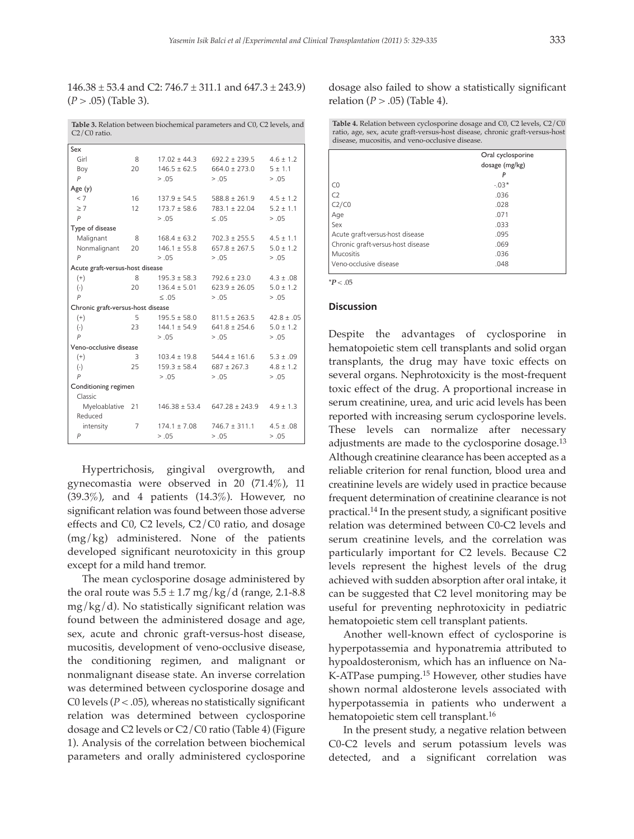333

 $146.38 \pm 53.4$  and C2:  $746.7 \pm 311.1$  and  $647.3 \pm 243.9$ ) (*P* > .05) (Table 3).

| Sex<br>Girl<br>8<br>$17.02 \pm 44.3$<br>$692.2 \pm 239.5$<br>$4.6 \pm 1.2$<br>$146.5 \pm 62.5$<br>$664.0 \pm 273.0$<br>5 ± 1.1<br>20<br>Boy<br>$\overline{P}$<br>> .05<br>> .05<br>> .05<br>Age (y)<br>< 7<br>16<br>$588.8 \pm 261.9$<br>$4.5 \pm 1.2$<br>$137.9 \pm 54.5$<br>12<br>$783.1 \pm 22.04$<br>$5.2 \pm 1.1$<br>>7<br>$173.7 \pm 58.6$<br>$\overline{P}$<br>$\leq .05$<br>> .05<br>> .05<br>Type of disease<br>Malignant<br>8<br>$168.4 \pm 63.2$<br>$702.3 \pm 255.5$<br>$4.5 \pm 1.1$<br>Nonmalignant<br>20<br>$146.1 \pm 55.8$<br>$657.8 \pm 267.5$<br>$5.0 \pm 1.2$<br>$\overline{P}$<br>> .05<br>> .05<br>> .05<br>Acute graft-versus-host disease<br>8<br>$195.3 \pm 58.3$<br>$792.6 \pm 23.0$<br>$4.3 \pm .08$<br>$^{(+)}$<br>$136.4 \pm 5.01$<br>$5.0 \pm 1.2$<br>20<br>$623.9 \pm 26.05$<br>$(\cdot)$<br>$\overline{P}$<br>> .05<br>> .05<br>$\leq .05$<br>Chronic graft-versus-host disease<br>5<br>$811.5 \pm 263.5$<br>$^{(+)}$<br>$195.5 \pm 58.0$<br>$42.8 \pm .05$<br>$144.1 \pm 54.9$<br>23<br>$641.8 \pm 254.6$<br>$5.0 \pm 1.2$<br>$(\cdot)$<br>P<br>> .05<br>> .05<br>> .05<br>Veno-occlusive disease<br>$103.4 \pm 19.8$<br>$544.4 \pm 161.6$<br>$5.3 \pm .09$<br>$(+)$<br>3<br>25<br>$159.3 \pm 58.4$<br>$687 \pm 267.3$<br>$4.8 \pm 1.2$<br>$(-)$<br>$\overline{P}$<br>> .05<br>> .05<br>> .05<br>Conditioning regimen<br>Classic<br>Myeloablative 21<br>$146.38 \pm 53.4$<br>$647.28 \pm 243.9$<br>$4.9 \pm 1.3$<br>Reduced<br>intensity<br>$174.1 \pm 7.08$<br>$746.7 \pm 311.1$<br>$4.5 \pm .08$<br>7<br>$\overline{P}$<br>> .05<br>> .05<br>> .05 | CZ/CO ratio. |  |  |
|---------------------------------------------------------------------------------------------------------------------------------------------------------------------------------------------------------------------------------------------------------------------------------------------------------------------------------------------------------------------------------------------------------------------------------------------------------------------------------------------------------------------------------------------------------------------------------------------------------------------------------------------------------------------------------------------------------------------------------------------------------------------------------------------------------------------------------------------------------------------------------------------------------------------------------------------------------------------------------------------------------------------------------------------------------------------------------------------------------------------------------------------------------------------------------------------------------------------------------------------------------------------------------------------------------------------------------------------------------------------------------------------------------------------------------------------------------------------------------------------------------------------------------------------------------------------------------------|--------------|--|--|
|                                                                                                                                                                                                                                                                                                                                                                                                                                                                                                                                                                                                                                                                                                                                                                                                                                                                                                                                                                                                                                                                                                                                                                                                                                                                                                                                                                                                                                                                                                                                                                                       |              |  |  |
|                                                                                                                                                                                                                                                                                                                                                                                                                                                                                                                                                                                                                                                                                                                                                                                                                                                                                                                                                                                                                                                                                                                                                                                                                                                                                                                                                                                                                                                                                                                                                                                       |              |  |  |
|                                                                                                                                                                                                                                                                                                                                                                                                                                                                                                                                                                                                                                                                                                                                                                                                                                                                                                                                                                                                                                                                                                                                                                                                                                                                                                                                                                                                                                                                                                                                                                                       |              |  |  |
|                                                                                                                                                                                                                                                                                                                                                                                                                                                                                                                                                                                                                                                                                                                                                                                                                                                                                                                                                                                                                                                                                                                                                                                                                                                                                                                                                                                                                                                                                                                                                                                       |              |  |  |
|                                                                                                                                                                                                                                                                                                                                                                                                                                                                                                                                                                                                                                                                                                                                                                                                                                                                                                                                                                                                                                                                                                                                                                                                                                                                                                                                                                                                                                                                                                                                                                                       |              |  |  |
|                                                                                                                                                                                                                                                                                                                                                                                                                                                                                                                                                                                                                                                                                                                                                                                                                                                                                                                                                                                                                                                                                                                                                                                                                                                                                                                                                                                                                                                                                                                                                                                       |              |  |  |
|                                                                                                                                                                                                                                                                                                                                                                                                                                                                                                                                                                                                                                                                                                                                                                                                                                                                                                                                                                                                                                                                                                                                                                                                                                                                                                                                                                                                                                                                                                                                                                                       |              |  |  |
|                                                                                                                                                                                                                                                                                                                                                                                                                                                                                                                                                                                                                                                                                                                                                                                                                                                                                                                                                                                                                                                                                                                                                                                                                                                                                                                                                                                                                                                                                                                                                                                       |              |  |  |
|                                                                                                                                                                                                                                                                                                                                                                                                                                                                                                                                                                                                                                                                                                                                                                                                                                                                                                                                                                                                                                                                                                                                                                                                                                                                                                                                                                                                                                                                                                                                                                                       |              |  |  |
|                                                                                                                                                                                                                                                                                                                                                                                                                                                                                                                                                                                                                                                                                                                                                                                                                                                                                                                                                                                                                                                                                                                                                                                                                                                                                                                                                                                                                                                                                                                                                                                       |              |  |  |
|                                                                                                                                                                                                                                                                                                                                                                                                                                                                                                                                                                                                                                                                                                                                                                                                                                                                                                                                                                                                                                                                                                                                                                                                                                                                                                                                                                                                                                                                                                                                                                                       |              |  |  |
|                                                                                                                                                                                                                                                                                                                                                                                                                                                                                                                                                                                                                                                                                                                                                                                                                                                                                                                                                                                                                                                                                                                                                                                                                                                                                                                                                                                                                                                                                                                                                                                       |              |  |  |
|                                                                                                                                                                                                                                                                                                                                                                                                                                                                                                                                                                                                                                                                                                                                                                                                                                                                                                                                                                                                                                                                                                                                                                                                                                                                                                                                                                                                                                                                                                                                                                                       |              |  |  |
|                                                                                                                                                                                                                                                                                                                                                                                                                                                                                                                                                                                                                                                                                                                                                                                                                                                                                                                                                                                                                                                                                                                                                                                                                                                                                                                                                                                                                                                                                                                                                                                       |              |  |  |
|                                                                                                                                                                                                                                                                                                                                                                                                                                                                                                                                                                                                                                                                                                                                                                                                                                                                                                                                                                                                                                                                                                                                                                                                                                                                                                                                                                                                                                                                                                                                                                                       |              |  |  |
|                                                                                                                                                                                                                                                                                                                                                                                                                                                                                                                                                                                                                                                                                                                                                                                                                                                                                                                                                                                                                                                                                                                                                                                                                                                                                                                                                                                                                                                                                                                                                                                       |              |  |  |
|                                                                                                                                                                                                                                                                                                                                                                                                                                                                                                                                                                                                                                                                                                                                                                                                                                                                                                                                                                                                                                                                                                                                                                                                                                                                                                                                                                                                                                                                                                                                                                                       |              |  |  |
|                                                                                                                                                                                                                                                                                                                                                                                                                                                                                                                                                                                                                                                                                                                                                                                                                                                                                                                                                                                                                                                                                                                                                                                                                                                                                                                                                                                                                                                                                                                                                                                       |              |  |  |
|                                                                                                                                                                                                                                                                                                                                                                                                                                                                                                                                                                                                                                                                                                                                                                                                                                                                                                                                                                                                                                                                                                                                                                                                                                                                                                                                                                                                                                                                                                                                                                                       |              |  |  |
|                                                                                                                                                                                                                                                                                                                                                                                                                                                                                                                                                                                                                                                                                                                                                                                                                                                                                                                                                                                                                                                                                                                                                                                                                                                                                                                                                                                                                                                                                                                                                                                       |              |  |  |
|                                                                                                                                                                                                                                                                                                                                                                                                                                                                                                                                                                                                                                                                                                                                                                                                                                                                                                                                                                                                                                                                                                                                                                                                                                                                                                                                                                                                                                                                                                                                                                                       |              |  |  |
|                                                                                                                                                                                                                                                                                                                                                                                                                                                                                                                                                                                                                                                                                                                                                                                                                                                                                                                                                                                                                                                                                                                                                                                                                                                                                                                                                                                                                                                                                                                                                                                       |              |  |  |
|                                                                                                                                                                                                                                                                                                                                                                                                                                                                                                                                                                                                                                                                                                                                                                                                                                                                                                                                                                                                                                                                                                                                                                                                                                                                                                                                                                                                                                                                                                                                                                                       |              |  |  |
|                                                                                                                                                                                                                                                                                                                                                                                                                                                                                                                                                                                                                                                                                                                                                                                                                                                                                                                                                                                                                                                                                                                                                                                                                                                                                                                                                                                                                                                                                                                                                                                       |              |  |  |
|                                                                                                                                                                                                                                                                                                                                                                                                                                                                                                                                                                                                                                                                                                                                                                                                                                                                                                                                                                                                                                                                                                                                                                                                                                                                                                                                                                                                                                                                                                                                                                                       |              |  |  |
|                                                                                                                                                                                                                                                                                                                                                                                                                                                                                                                                                                                                                                                                                                                                                                                                                                                                                                                                                                                                                                                                                                                                                                                                                                                                                                                                                                                                                                                                                                                                                                                       |              |  |  |
|                                                                                                                                                                                                                                                                                                                                                                                                                                                                                                                                                                                                                                                                                                                                                                                                                                                                                                                                                                                                                                                                                                                                                                                                                                                                                                                                                                                                                                                                                                                                                                                       |              |  |  |
|                                                                                                                                                                                                                                                                                                                                                                                                                                                                                                                                                                                                                                                                                                                                                                                                                                                                                                                                                                                                                                                                                                                                                                                                                                                                                                                                                                                                                                                                                                                                                                                       |              |  |  |
|                                                                                                                                                                                                                                                                                                                                                                                                                                                                                                                                                                                                                                                                                                                                                                                                                                                                                                                                                                                                                                                                                                                                                                                                                                                                                                                                                                                                                                                                                                                                                                                       |              |  |  |
|                                                                                                                                                                                                                                                                                                                                                                                                                                                                                                                                                                                                                                                                                                                                                                                                                                                                                                                                                                                                                                                                                                                                                                                                                                                                                                                                                                                                                                                                                                                                                                                       |              |  |  |

**table 3.** Relation between biochemical parameters and C0, C2 levels, and C2/C0 ratio.

Hypertrichosis, gingival overgrowth, and gynecomastia were observed in 20 (71.4%), 11 (39.3%), and 4 patients (14.3%). However, no significant relation was found between those adverse effects and C0, C2 levels, C2/C0 ratio, and dosage (mg/kg) administered. None of the patients developed significant neurotoxicity in this group except for a mild hand tremor.

The mean cyclosporine dosage administered by the oral route was  $5.5 \pm 1.7$  mg/kg/d (range, 2.1-8.8)  $mg/kg/d$ ). No statistically significant relation was found between the administered dosage and age, sex, acute and chronic graft-versus-host disease, mucositis, development of veno-occlusive disease, the conditioning regimen, and malignant or nonmalignant disease state. An inverse correlation was determined between cyclosporine dosage and C0 levels ( $P < .05$ ), whereas no statistically significant relation was determined between cyclosporine dosage and C2 levels or C2/C0 ratio (Table 4) (Figure 1). Analysis of the correlation between biochemical parameters and orally administered cyclosporine dosage also failed to show a statistically significant relation  $(P > .05)$  (Table 4).

**table 4.** Relation between cyclosporine dosage and C0, C2 levels, C2/C0 ratio, age, sex, acute graft-versus-host disease, chronic graft-versus-host disease, mucositis, and veno-occlusive disease.

|                                   | Oral cyclosporine |
|-----------------------------------|-------------------|
|                                   | dosage (mg/kg)    |
|                                   | P                 |
| CO                                | $-0.3*$           |
| C <sub>2</sub>                    | .036              |
| C2/C0                             | .028              |
| Age                               | .071              |
| Sex                               | .033              |
| Acute graft-versus-host disease   | .095              |
| Chronic graft-versus-host disease | .069              |
| <b>Mucositis</b>                  | .036              |
| Veno-occlusive disease            | .048              |

\**P* < .05

#### **Discussion**

Despite the advantages of cyclosporine in hematopoietic stem cell transplants and solid organ transplants, the drug may have toxic effects on several organs. Nephrotoxicity is the most-frequent toxic effect of the drug. A proportional increase in serum creatinine, urea, and uric acid levels has been reported with increasing serum cyclosporine levels. These levels can normalize after necessary adjustments are made to the cyclosporine dosage.13 Although creatinine clearance has been accepted as a reliable criterion for renal function, blood urea and creatinine levels are widely used in practice because frequent determination of creatinine clearance is not practical.14 In the present study, a significant positive relation was determined between C0-C2 levels and serum creatinine levels, and the correlation was particularly important for C2 levels. Because C2 levels represent the highest levels of the drug achieved with sudden absorption after oral intake, it can be suggested that C2 level monitoring may be useful for preventing nephrotoxicity in pediatric hematopoietic stem cell transplant patients.

Another well-known effect of cyclosporine is hyperpotassemia and hyponatremia attributed to hypoaldosteronism, which has an influence on Na-K-ATPase pumping.15 However, other studies have shown normal aldosterone levels associated with hyperpotassemia in patients who underwent a hematopoietic stem cell transplant.16

In the present study, a negative relation between C0-C2 levels and serum potassium levels was detected, and a significant correlation was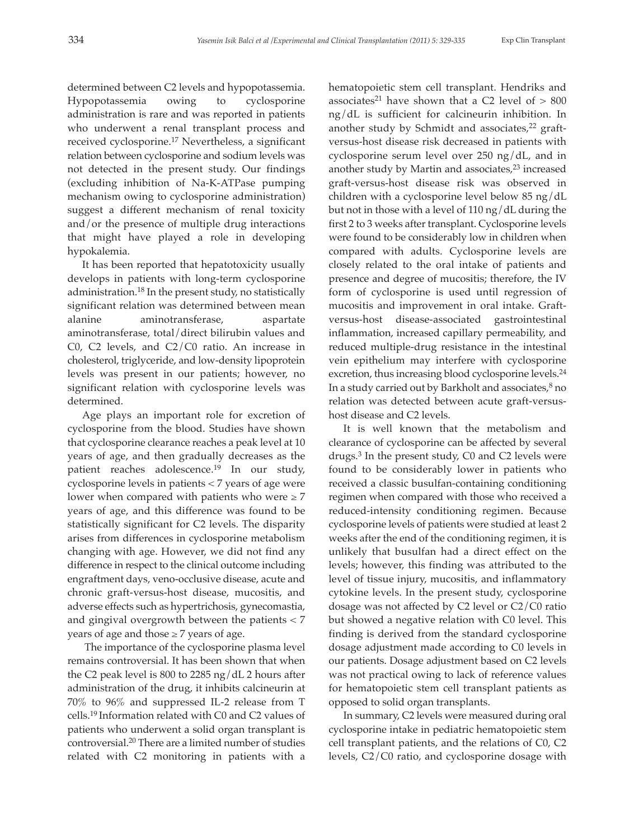determined between C2 levels and hypopotassemia. Hypopotassemia owing to cyclosporine administration is rare and was reported in patients who underwent a renal transplant process and received cyclosporine.17 Nevertheless, a significant relation between cyclosporine and sodium levels was not detected in the present study. Our findings (excluding inhibition of Na-K-ATPase pumping mechanism owing to cyclosporine administration) suggest a different mechanism of renal toxicity and/or the presence of multiple drug interactions that might have played a role in developing hypokalemia.

It has been reported that hepatotoxicity usually develops in patients with long-term cyclosporine administration.18 In the present study, no statistically significant relation was determined between mean alanine aminotransferase, aspartate aminotransferase, total/direct bilirubin values and C0, C2 levels, and C2/C0 ratio. An increase in cholesterol, triglyceride, and low-density lipoprotein levels was present in our patients; however, no significant relation with cyclosporine levels was determined.

Age plays an important role for excretion of cyclosporine from the blood. Studies have shown that cyclosporine clearance reaches a peak level at 10 years of age, and then gradually decreases as the patient reaches adolescence.<sup>19</sup> In our study, cyclosporine levels in patients < 7 years of age were lower when compared with patients who were  $\geq 7$ years of age, and this difference was found to be statistically significant for C2 levels. The disparity arises from differences in cyclosporine metabolism changing with age. However, we did not find any difference in respect to the clinical outcome including engraftment days, veno-occlusive disease, acute and chronic graft-versus-host disease, mucositis, and adverse effects such as hypertrichosis, gynecomastia, and gingival overgrowth between the patients < 7 years of age and those  $\geq$  7 years of age.

The importance of the cyclosporine plasma level remains controversial. It has been shown that when the C2 peak level is 800 to 2285 ng/dL 2 hours after administration of the drug, it inhibits calcineurin at 70% to 96% and suppressed IL-2 release from T cells.19 Information related with C0 and C2 values of patients who underwent a solid organ transplant is controversial.20 There are a limited number of studies related with C2 monitoring in patients with a

hematopoietic stem cell transplant. Hendriks and associates<sup>21</sup> have shown that a C2 level of  $> 800$ ng/dL is sufficient for calcineurin inhibition. In another study by Schmidt and associates,<sup>22</sup> graftversus-host disease risk decreased in patients with cyclosporine serum level over 250 ng/dL, and in another study by Martin and associates,<sup>23</sup> increased graft-versus-host disease risk was observed in children with a cyclosporine level below 85 ng/dL but not in those with a level of 110 ng/dL during the first 2 to 3 weeks after transplant. Cyclosporine levels were found to be considerably low in children when compared with adults. Cyclosporine levels are closely related to the oral intake of patients and presence and degree of mucositis; therefore, the IV form of cyclosporine is used until regression of mucositis and improvement in oral intake. Graftversus-host disease-associated gastrointestinal inflammation, increased capillary permeability, and reduced multiple-drug resistance in the intestinal vein epithelium may interfere with cyclosporine excretion, thus increasing blood cyclosporine levels.24 In a study carried out by Barkholt and associates,<sup>8</sup> no relation was detected between acute graft-versushost disease and C2 levels.

It is well known that the metabolism and clearance of cyclosporine can be affected by several drugs.3 In the present study, C0 and C2 levels were found to be considerably lower in patients who received a classic busulfan-containing conditioning regimen when compared with those who received a reduced-intensity conditioning regimen. Because cyclosporine levels of patients were studied at least 2 weeks after the end of the conditioning regimen, it is unlikely that busulfan had a direct effect on the levels; however, this finding was attributed to the level of tissue injury, mucositis, and inflammatory cytokine levels. In the present study, cyclosporine dosage was not affected by C2 level or C2/C0 ratio but showed a negative relation with C0 level. This finding is derived from the standard cyclosporine dosage adjustment made according to C0 levels in our patients. Dosage adjustment based on C2 levels was not practical owing to lack of reference values for hematopoietic stem cell transplant patients as opposed to solid organ transplants.

In summary, C2 levels were measured during oral cyclosporine intake in pediatric hematopoietic stem cell transplant patients, and the relations of C0, C2 levels, C2/C0 ratio, and cyclosporine dosage with